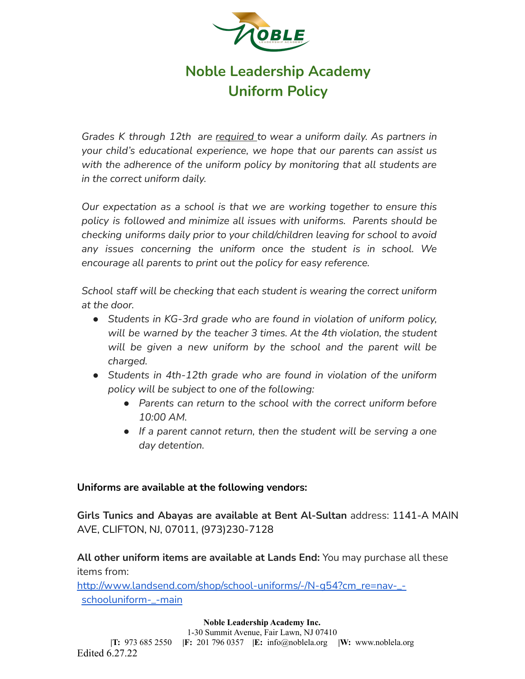

# **Noble Leadership Academy Uniform Policy**

*Grades K through 12th are required to wear a uniform daily. As partners in your child's educational experience, we hope that our parents can assist us with the adherence of the uniform policy by monitoring that all students are in the correct uniform daily.*

*Our expectation as a school is that we are working together to ensure this policy is followed and minimize all issues with uniforms. Parents should be checking uniforms daily prior to your child/children leaving for school to avoid any issues concerning the uniform once the student is in school. We encourage all parents to print out the policy for easy reference.*

*School staff will be checking that each student is wearing the correct uniform at the door.*

- *● Students in KG-3rd grade who are found in violation of uniform policy, will be warned by the teacher 3 times. At the 4th violation, the student will be given a new uniform by the school and the parent will be charged.*
- *● Students in 4th-12th grade who are found in violation of the uniform policy will be subject to one of the following:*
	- *● Parents can return to the school with the correct uniform before 10:00 AM.*
	- *● If a parent cannot return, then the student will be serving a one day detention.*

#### **Uniforms are available at the following vendors:**

**Girls Tunics and Abayas are available at Bent Al-Sultan** address: 1141-A MAIN AVE, CLIFTON, NJ, 07011, (973)230-7128

**All other uniform items are available at Lands End:** You may purchase all these items from:

[http://www.landsend.com/shop/school-uniforms/-/N-g54?cm\\_re=nav-\\_](http://www.landsend.com/shop/school-uniforms/-/N-g54?cm_re=nav-_-schooluniform-_-main) [schooluniform-\\_-main](http://www.landsend.com/shop/school-uniforms/-/N-g54?cm_re=nav-_-schooluniform-_-main)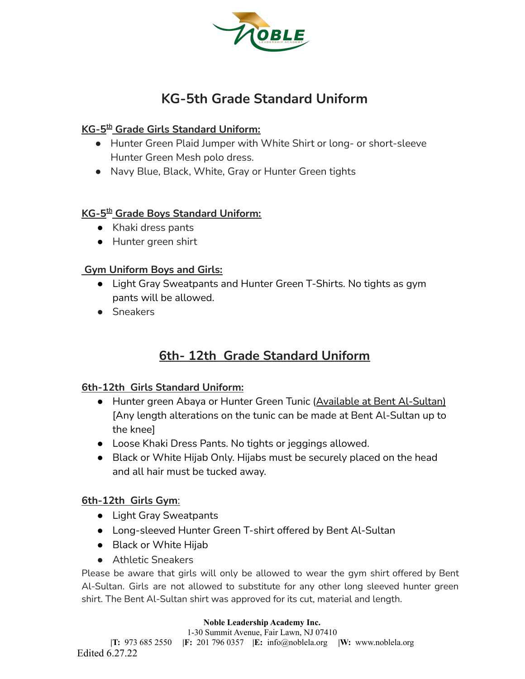

# **KG-5th Grade Standard Uniform**

## **KG-5 th Grade Girls Standard Uniform:**

- Hunter Green Plaid Jumper with White Shirt or long- or short-sleeve Hunter Green Mesh polo dress.
- Navy Blue, Black, White, Gray or Hunter Green tights

## **KG-5 th Grade Boys Standard Uniform:**

- Khaki dress pants
- Hunter green shirt

## **Gym Uniform Boys and Girls:**

- Light Gray Sweatpants and Hunter Green T-Shirts. No tights as gym pants will be allowed.
- Sneakers

## **6th- 12th Grade Standard Uniform**

## **6th-12th Girls Standard Uniform:**

- Hunter green Abaya or Hunter Green Tunic (Available at Bent Al-Sultan) [Any length alterations on the tunic can be made at Bent Al-Sultan up to the knee]
- Loose Khaki Dress Pants. No tights or jeggings allowed.
- Black or White Hijab Only. Hijabs must be securely placed on the head and all hair must be tucked away.

## **6th-12th Girls Gym**:

- Light Gray Sweatpants
- Long-sleeved Hunter Green T-shirt offered by Bent Al-Sultan
- Black or White Hijab
- Athletic Sneakers

Please be aware that girls will only be allowed to wear the gym shirt offered by Bent Al-Sultan. Girls are not allowed to substitute for any other long sleeved hunter green shirt. The Bent Al-Sultan shirt was approved for its cut, material and length.

#### **Noble Leadership Academy Inc.**

1-30 Summit Avenue, Fair Lawn, NJ 07410 **|T:** 973 685 2550 **|F:** 201 796 0357 **|E:** info@noblela.org **|W:** www.noblela.org Edited 6.27.22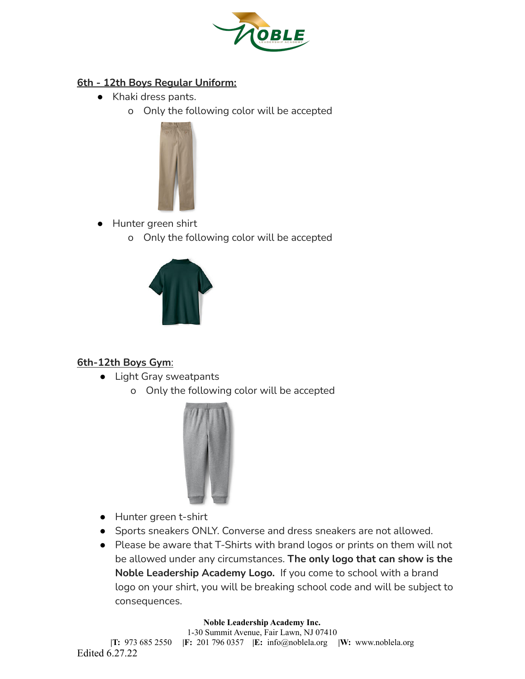

## **6th - 12th Boys Regular Uniform:**

- Khaki dress pants.
	- o Only the following color will be accepted



- Hunter green shirt
	- o Only the following color will be accepted



## **6th-12th Boys Gym**:

- Light Gray sweatpants
	- o Only the following color will be accepted



- Hunter green t-shirt
- Sports sneakers ONLY. Converse and dress sneakers are not allowed.
- Please be aware that T-Shirts with brand logos or prints on them will not be allowed under any circumstances. **The only logo that can show is the Noble Leadership Academy Logo.** If you come to school with a brand logo on your shirt, you will be breaking school code and will be subject to consequences.

#### **Noble Leadership Academy Inc.**

1-30 Summit Avenue, Fair Lawn, NJ 07410 **|T:** 973 685 2550 **|F:** 201 796 0357 **|E:** info@noblela.org **|W:** www.noblela.org Edited 6.27.22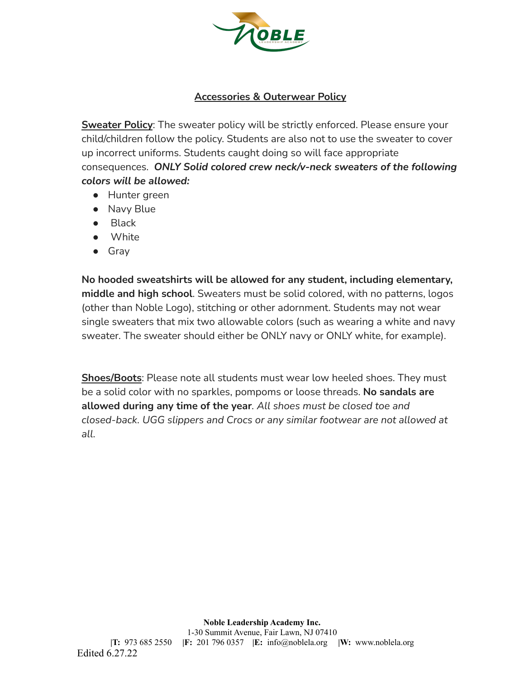

## **Accessories & Outerwear Policy**

**Sweater Policy**: The sweater policy will be strictly enforced. Please ensure your child/children follow the policy. Students are also not to use the sweater to cover up incorrect uniforms. Students caught doing so will face appropriate consequences. *ONLY Solid colored crew neck/v-neck sweaters of the following colors will be allowed:*

- Hunter green
- Navy Blue
- Black
- White
- Gray

**No hooded sweatshirts will be allowed for any student, including elementary, middle and high school**. Sweaters must be solid colored, with no patterns, logos (other than Noble Logo), stitching or other adornment. Students may not wear single sweaters that mix two allowable colors (such as wearing a white and navy sweater. The sweater should either be ONLY navy or ONLY white, for example).

**Shoes/Boots**: Please note all students must wear low heeled shoes. They must be a solid color with no sparkles, pompoms or loose threads. **No sandals are allowed during any time of the year***. All shoes must be closed toe and closed-back. UGG slippers and Crocs or any similar footwear are not allowed at all.*